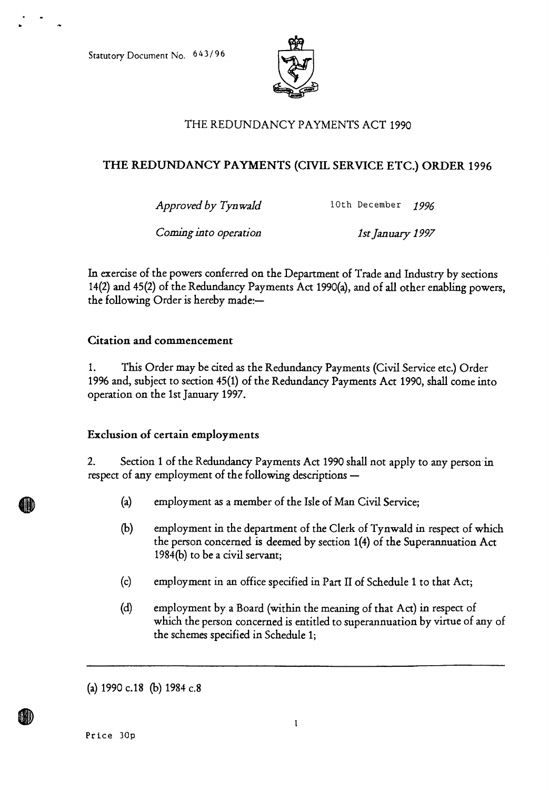Statutory Document No. 643/96



# THE REDUNDANCY PAYMENTS ACT 1990

## **THE REDUNDANCY PAYMENTS (CIVIL SERVICE ETC.) ORDER 1996**

*Approved by Tynwald* 10th December *1996* 

*Coming into operation 1st January 1997* 

In exercise of the powers conferred on the Department of Trade and Industry by sections 14(2) and 45(2) of the Redundancy Payments Act 1990(a), and of all other enabling powers, the following Order is hereby made:—

### **Citation and commencement**

1. This Order may be cited as the Redundancy Payments (Civil Service etc.) Order 1996 and, subject to section 45(1) of the Redundancy Payments Act 1990, shall come into operation on the 1st January 1997.

### **Exclusion of certain employments**

2. Section 1 of the Redundancy Payments Act 1990 shall not apply to any person in respect of any employment of the following descriptions —

- (a) employment as a member of the Isle of Man Civil Service;
- (b) employment in the department of the Clerk of Tynwald in respect of which the person concerned is deemed by section 1(4) of the Superannuation Act 1984(b) to be a civil servant;
- (c) employment in an office specified in Part II of Schedule 1 to that Act;
- (d) employment by a Board (within the meaning of that Act) in respect of which the person concerned is entitled to superannuation by virtue of any of the schemes specified in Schedule 1;

(a) 1990 c.18 (b) 1984 c.8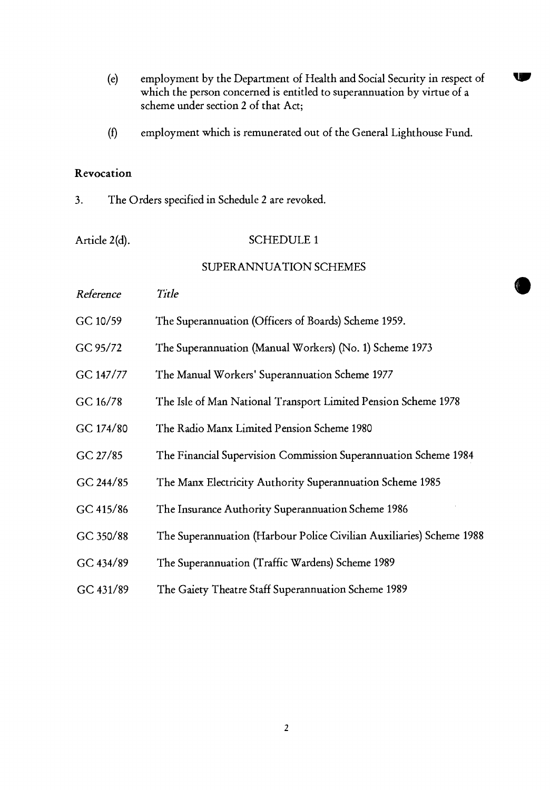(e) employment by the Department of Health and Social Security in respect of which the person concerned is entitled to superannuation by virtue of a scheme under section 2 of that Act;

W

employment which is remunerated out of the General Lighthouse Fund.  $(f)$ 

#### Revocation

3. The Orders specified in Schedule 2 are revoked.

### Article 2(d). SCHEDULE 1

## SUPERANNUATION SCHEMES

| Reference | Title                                                                |
|-----------|----------------------------------------------------------------------|
| GC 10/59  | The Superannuation (Officers of Boards) Scheme 1959.                 |
| GC 95/72  | The Superannuation (Manual Workers) (No. 1) Scheme 1973              |
| GC 147/77 | The Manual Workers' Superannuation Scheme 1977                       |
| GC 16/78  | The Isle of Man National Transport Limited Pension Scheme 1978       |
| GC 174/80 | The Radio Manx Limited Pension Scheme 1980                           |
| GC 27/85  | The Financial Supervision Commission Superannuation Scheme 1984      |
| GC 244/85 | The Manx Electricity Authority Superannuation Scheme 1985            |
| GC 415/86 | The Insurance Authority Superannuation Scheme 1986                   |
| GC 350/88 | The Superannuation (Harbour Police Civilian Auxiliaries) Scheme 1988 |
| GC 434/89 | The Superannuation (Traffic Wardens) Scheme 1989                     |
| GC 431/89 | The Gaiety Theatre Staff Superannuation Scheme 1989                  |